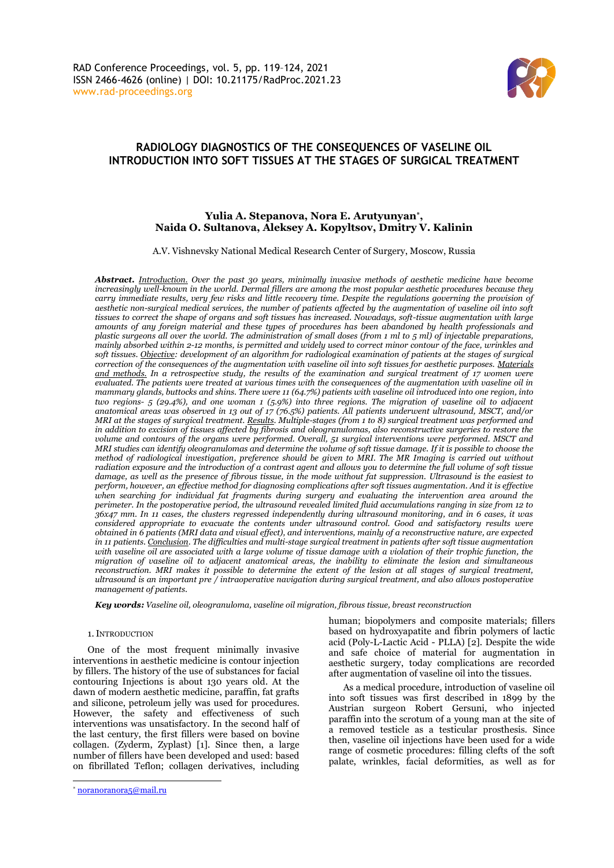

# **RADIOLOGY DIAGNOSTICS OF THE CONSEQUENCES OF VASELINE OIL INTRODUCTION INTO SOFT TISSUES AT THE STAGES OF SURGICAL TREATMENT**

# **Yulia A. Stepanova, Nora E. Arutyunyan\* , Naida O. Sultanova, Aleksey A. Kopyltsov, Dmitry V. Kalinin**

A.V. Vishnevsky National Medical Research Center of Surgery, Moscow, Russia

*Abstract. Introduction. Over the past 30 years, minimally invasive methods of aesthetic medicine have become increasingly well-known in the world. Dermal fillers are among the most popular aesthetic procedures because they carry immediate results, very few risks and little recovery time. Despite the regulations governing the provision of aesthetic non-surgical medical services, the number of patients affected by the augmentation of vaseline oil into soft tissues to correct the shape of organs and soft tissues has increased. Nowadays, soft-tissue augmentation with large amounts of any foreign material and these types of procedures has been abandoned by health professionals and plastic surgeons all over the world. The administration of small doses (from 1 ml to 5 ml) of injectable preparations, mainly absorbed within 2-12 months, is permitted and widely used to correct minor contour of the face, wrinkles and soft tissues. Objective: development of an algorithm for radiological examination of patients at the stages of surgical correction of the consequences of the augmentation with vaseline oil into soft tissues for aesthetic purposes. Materials and methods. In a retrospective study, the results of the examination and surgical treatment of 17 women were evaluated. The patients were treated at various times with the consequences of the augmentation with vaseline oil in mammary glands, buttocks and shins. There were 11 (64.7%) patients with vaseline oil introduced into one region, into two regions- 5 (29.4%), and one woman 1 (5.9%) into three regions. The migration of vaseline oil to adjacent anatomical areas was observed in 13 out of 17 (76.5%) patients. All patients underwent ultrasound, MSCT, and/or MRI at the stages of surgical treatment. Results. Multiple-stages (from 1 to 8) surgical treatment was performed and in addition to excision of tissues affected by fibrosis and oleogranulomas, also reconstructive surgeries to restore the volume and contours of the organs were performed. Overall, 51 surgical interventions were performed. MSCT and MRI studies can identify oleogranulomas and determine the volume of soft tissue damage. If it is possible to choose the method of radiological investigation, preference should be given to MRI. The MR Imaging is carried out without radiation exposure and the introduction of a contrast agent and allows you to determine the full volume of soft tissue damage, as well as the presence of fibrous tissue, in the mode without fat suppression. Ultrasound is the easiest to perform, however, an effective method for diagnosing complications after soft tissues augmentation. And it is effective when searching for individual fat fragments during surgery and evaluating the intervention area around the perimeter. In the postoperative period, the ultrasound revealed limited fluid accumulations ranging in size from 12 to 36x47 mm. In 11 cases, the clusters regressed independently during ultrasound monitoring, and in 6 cases, it was considered appropriate to evacuate the contents under ultrasound control. Good and satisfactory results were obtained in 6 patients (MRI data and visual effect), and interventions, mainly of a reconstructive nature, are expected in 11 patients. Conclusion. The difficulties and multi-stage surgical treatment in patients after soft tissue augmentation with vaseline oil are associated with a large volume of tissue damage with a violation of their trophic function, the migration of vaseline oil to adjacent anatomical areas, the inability to eliminate the lesion and simultaneous reconstruction. MRI makes it possible to determine the extent of the lesion at all stages of surgical treatment, ultrasound is an important pre / intraoperative navigation during surgical treatment, and also allows postoperative management of patients.*

*Key words: Vaseline oil, oleogranuloma, vaseline oil migration, fibrous tissue, breast reconstruction*

#### 1.INTRODUCTION

One of the most frequent minimally invasive interventions in aesthetic medicine is contour injection by fillers. The history of the use of substances for facial contouring Injections is about 130 years old. At the dawn of modern aesthetic medicine, paraffin, fat grafts and silicone, petroleum jelly was used for procedures. However, the safety and effectiveness of such interventions was unsatisfactory. In the second half of the last century, the first fillers were based on bovine collagen. (Zyderm, Zyplast) [1]. Since then, a large number of fillers have been developed and used: based on fibrillated Teflon; collagen derivatives, including

human; biopolymers and composite materials; fillers based on hydroxyapatite and fibrin polymers of lactic acid (Poly-L-Lactic Acid - PLLA) [2]. Despite the wide and safe choice of material for augmentation in aesthetic surgery, today complications are recorded after augmentation of vaseline oil into the tissues.

As a medical procedure, introduction of vaseline oil into soft tissues was first described in 1899 by the Austrian surgeon Robert Gersuni, who injected paraffin into the scrotum of a young man at the site of a removed testicle as a testicular prosthesis. Since then, vaseline oil injections have been used for a wide range of cosmetic procedures: filling clefts of the soft palate, wrinkles, facial deformities, as well as for

<sup>\*</sup> [noranoranora5@mail.ru](mailto:noranoranora5@mail.ru)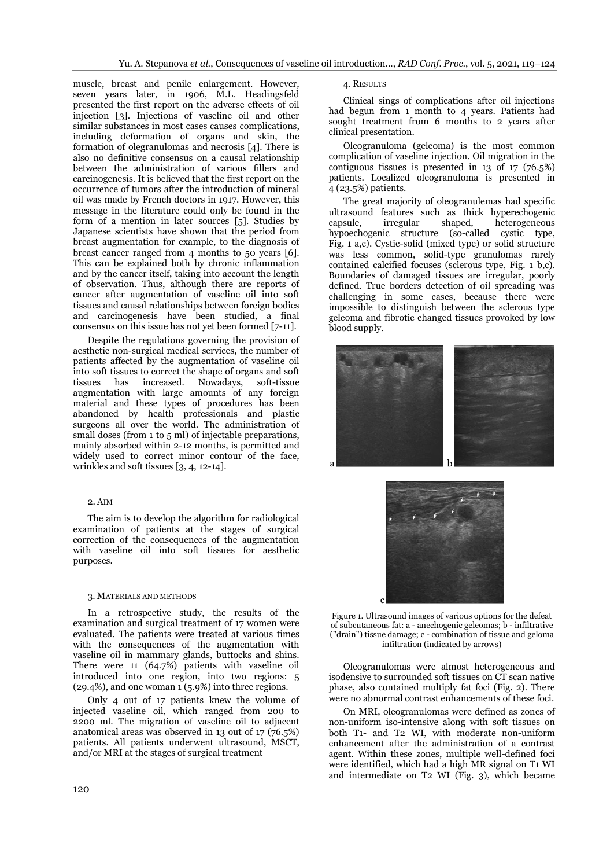muscle, breast and penile enlargement. However, seven years later, in 1906, M.L. Headingsfeld presented the first report on the adverse effects of oil injection [3]. Injections of vaseline oil and other similar substances in most cases causes complications, including deformation of organs and skin, the formation of olegranulomas and necrosis [4]. There is also no definitive consensus on a causal relationship between the administration of various fillers and carcinogenesis. It is believed that the first report on the occurrence of tumors after the introduction of mineral oil was made by French doctors in 1917. However, this message in the literature could only be found in the form of a mention in later sources [5]. Studies by Japanese scientists have shown that the period from breast augmentation for example, to the diagnosis of breast cancer ranged from 4 months to 50 years [6]. This can be explained both by chronic inflammation and by the cancer itself, taking into account the length of observation. Thus, although there are reports of cancer after augmentation of vaseline oil into soft tissues and causal relationships between foreign bodies and carcinogenesis have been studied, a final consensus on this issue has not yet been formed [7-11].

Despite the regulations governing the provision of aesthetic non-surgical medical services, the number of patients affected by the augmentation of vaseline oil into soft tissues to correct the shape of organs and soft tissues has increased. Nowadays, soft-tissue augmentation with large amounts of any foreign material and these types of procedures has been abandoned by health professionals and plastic surgeons all over the world. The administration of small doses (from 1 to 5 ml) of injectable preparations, mainly absorbed within 2-12 months, is permitted and widely used to correct minor contour of the face, wrinkles and soft tissues [3, 4, 12-14].

### 2. AIM

The aim is to develop the algorithm for radiological examination of patients at the stages of surgical correction of the consequences of the augmentation with vaseline oil into soft tissues for aesthetic purposes.

#### 3. MATERIALS AND METHODS

In a retrospective study, the results of the examination and surgical treatment of 17 women were evaluated. The patients were treated at various times with the consequences of the augmentation with vaseline oil in mammary glands, buttocks and shins. There were 11 (64.7%) patients with vaseline oil introduced into one region, into two regions: 5 (29.4%), and one woman 1 (5.9%) into three regions.

Only 4 out of 17 patients knew the volume of injected vaseline oil, which ranged from 200 to 2200 ml. The migration of vaseline oil to adjacent anatomical areas was observed in 13 out of 17 (76.5%) patients. All patients underwent ultrasound, MSCT, and/or MRI at the stages of surgical treatment

## 4. RESULTS

Clinical sings of complications after oil injections had begun from 1 month to 4 years. Patients had sought treatment from 6 months to 2 years after clinical presentation.

Oleogranuloma (geleoma) is the most common complication of vaseline injection. Oil migration in the contiguous tissues is presented in 13 of 17 (76.5%) patients. Localized oleogranuloma is presented in 4 (23.5%) patients.

The great majority of oleogranulemas had specific ultrasound features such as thick hyperechogenic<br>capsule. irregular shaped. heterogeneous capsule, irregular shaped, heterogeneous hypoechogenic structure (so-called cystic type, Fig. 1 a,c). Cystic-solid (mixed type) or solid structure was less common, solid-type granulomas rarely contained calcified focuses (sclerous type, Fig. 1 b,c). Boundaries of damaged tissues are irregular, poorly defined. True borders detection of oil spreading was challenging in some cases, because there were impossible to distinguish between the sclerous type geleoma and fibrotic changed tissues provoked by low blood supply.





Figure 1. Ultrasound images of various options for the defeat of subcutaneous fat: a - anechogenic geleomas; b - infiltrative ("drain") tissue damage; c - combination of tissue and geloma infiltration (indicated by arrows)

Oleogranulomas were almost heterogeneous and isodensive to surrounded soft tissues on CT scan native phase, also contained multiply fat foci (Fig. 2). There were no abnormal contrast enhancements of these foci.

On MRI, oleogranulomas were defined as zones of non-uniform iso-intensive along with soft tissues on both T1- and T2 WI, with moderate non-uniform enhancement after the administration of a contrast agent. Within these zones, multiple well-defined foci were identified, which had a high MR signal on T1 WI and intermediate on T2 WI (Fig. 3), which became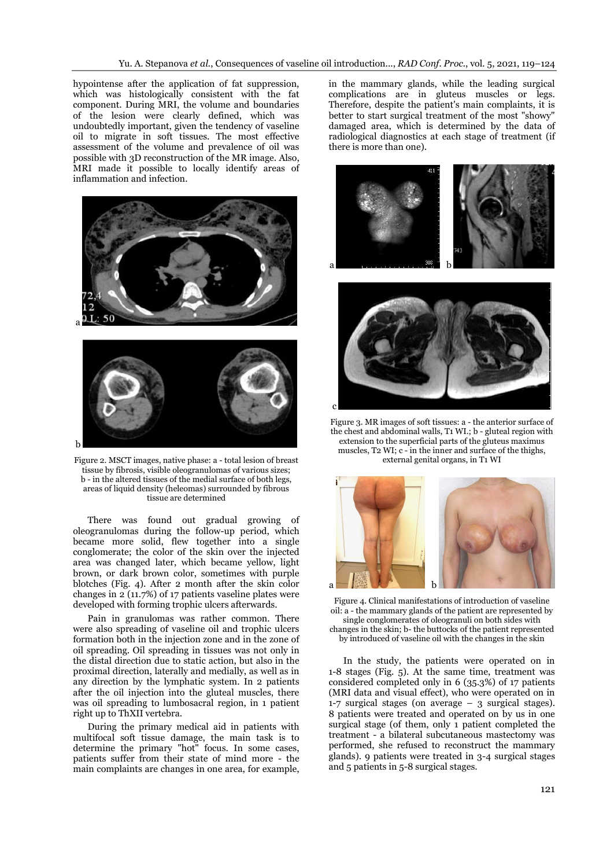hypointense after the application of fat suppression, which was histologically consistent with the fat component. During MRI, the volume and boundaries of the lesion were clearly defined, which was undoubtedly important, given the tendency of vaseline oil to migrate in soft tissues. The most effective assessment of the volume and prevalence of oil was possible with 3D reconstruction of the MR image. Also, MRI made it possible to locally identify areas of inflammation and infection.



Figure 2. MSCT images, native phase: a - total lesion of breast tissue by fibrosis, visible oleogranulomas of various sizes; b - in the altered tissues of the medial surface of both legs, areas of liquid density (heleomas) surrounded by fibrous tissue are determined

There was found out gradual growing of oleogranulomas during the follow-up period, which became more solid, flew together into a single conglomerate; the color of the skin over the injected area was changed later, which became yellow, light brown, or dark brown color, sometimes with purple blotches (Fig. 4). After 2 month after the skin color changes in 2 (11.7%) of 17 patients vaseline plates were developed with forming trophic ulcers afterwards.

Pain in granulomas was rather common. There were also spreading of vaseline oil and trophic ulcers formation both in the injection zone and in the zone of oil spreading. Oil spreading in tissues was not only in the distal direction due to static action, but also in the proximal direction, laterally and medially, as well as in any direction by the lymphatic system. In 2 patients after the oil injection into the gluteal muscles, there was oil spreading to lumbosacral region, in 1 patient right up to ThXII vertebra.

During the primary medical aid in patients with multifocal soft tissue damage, the main task is to determine the primary "hot" focus. In some cases, patients suffer from their state of mind more - the main complaints are changes in one area, for example,

in the mammary glands, while the leading surgical complications are in gluteus muscles or legs. Therefore, despite the patient's main complaints, it is better to start surgical treatment of the most "showy" damaged area, which is determined by the data of radiological diagnostics at each stage of treatment (if there is more than one).





Figure 3. MR images of soft tissues: a - the anterior surface of the chest and abdominal walls, T1 WI.; b - gluteal region with extension to the superficial parts of the gluteus maximus muscles, T2 WI; c - in the inner and surface of the thighs, external genital organs, in T1 WI



Figure 4. Clinical manifestations of introduction of vaseline oil: a - the mammary glands of the patient are represented by single conglomerates of oleogranuli on both sides with changes in the skin; b- the buttocks of the patient represented by introduced of vaseline oil with the changes in the skin

In the study, the patients were operated on in 1-8 stages (Fig. 5). At the same time, treatment was considered completed only in 6 (35.3%) of 17 patients (MRI data and visual effect), who were operated on in 1-7 surgical stages (on average – 3 surgical stages). 8 patients were treated and operated on by us in one surgical stage (of them, only 1 patient completed the treatment - a bilateral subcutaneous mastectomy was performed, she refused to reconstruct the mammary glands). 9 patients were treated in 3-4 surgical stages and 5 patients in 5-8 surgical stages.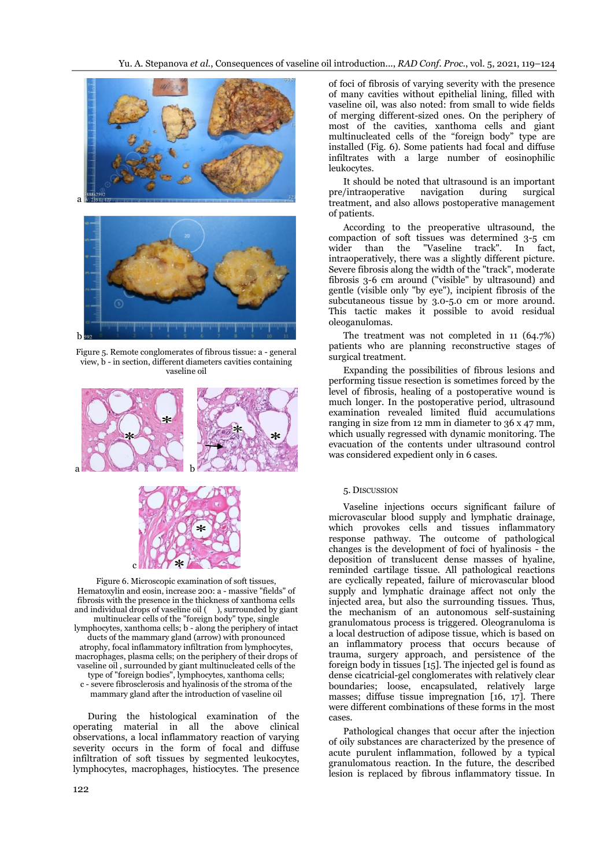

Figure 5. Remote conglomerates of fibrous tissue: a - general view, b - in section, different diameters cavities containing vaseline oil





Figure 6. Microscopic examination of soft tissues, Hematoxylin and eosin, increase 200: a - massive "fields" of fibrosis with the presence in the thickness of xanthoma cells and individual drops of vaseline oil ( ), surrounded by giant multinuclear cells of the "foreign body" type, single lymphocytes, xanthoma cells; b - along the periphery of intact ducts of the mammary gland (arrow) with pronounced atrophy, focal inflammatory infiltration from lymphocytes, macrophages, plasma cells; on the periphery of their drops of vaseline oil , surrounded by giant multinucleated cells of the type of "foreign bodies", lymphocytes, xanthoma cells; c - severe fibrosclerosis and hyalinosis of the stroma of the mammary gland after the introduction of vaseline oil

During the histological examination of the operating material in all the above clinical observations, a local inflammatory reaction of varying severity occurs in the form of focal and diffuse infiltration of soft tissues by segmented leukocytes, lymphocytes, macrophages, histiocytes. The presence

of foci of fibrosis of varying severity with the presence of many cavities without epithelial lining, filled with vaseline oil, was also noted: from small to wide fields of merging different-sized ones. On the periphery of most of the cavities, xanthoma cells and giant multinucleated cells of the "foreign body" type are installed (Fig. 6). Some patients had focal and diffuse infiltrates with a large number of eosinophilic leukocytes.

It should be noted that ultrasound is an important pre/intraoperative navigation during surgical treatment, and also allows postoperative management of patients.

According to the preoperative ultrasound, the compaction of soft tissues was determined 3-5 cm wider than the "Vaseline track". In fact, intraoperatively, there was a slightly different picture. Severe fibrosis along the width of the "track", moderate fibrosis 3-6 cm around ("visible" by ultrasound) and gentle (visible only "by eye"), incipient fibrosis of the subcutaneous tissue by 3.0-5.0 cm or more around. This tactic makes it possible to avoid residual oleoganulomas.

The treatment was not completed in 11 (64.7%) patients who are planning reconstructive stages of surgical treatment.

Expanding the possibilities of fibrous lesions and performing tissue resection is sometimes forced by the level of fibrosis, healing of a postoperative wound is much longer. In the postoperative period, ultrasound examination revealed limited fluid accumulations ranging in size from 12 mm in diameter to 36 x 47 mm, which usually regressed with dynamic monitoring. The evacuation of the contents under ultrasound control was considered expedient only in 6 cases.

#### 5. DISCUSSION

Vaseline injections occurs significant failure of microvascular blood supply and lymphatic drainage, which provokes cells and tissues inflammatory response pathway. The outcome of pathological changes is the development of foci of hyalinosis - the deposition of translucent dense masses of hyaline, reminded cartilage tissue. All pathological reactions are cyclically repeated, failure of microvascular blood supply and lymphatic drainage affect not only the injected area, but also the surrounding tissues. Thus, the mechanism of an autonomous self-sustaining granulomatous process is triggered. Oleogranuloma is a local destruction of adipose tissue, which is based on an inflammatory process that occurs because of trauma, surgery approach, and persistence of the foreign body in tissues [15]. The injected gel is found as dense cicatricial-gel conglomerates with relatively clear boundaries; loose, encapsulated, relatively large masses; diffuse tissue impregnation [16, 17]. There were different combinations of these forms in the most cases.

Pathological changes that occur after the injection of oily substances are characterized by the presence of acute purulent inflammation, followed by a typical granulomatous reaction. In the future, the described lesion is replaced by fibrous inflammatory tissue. In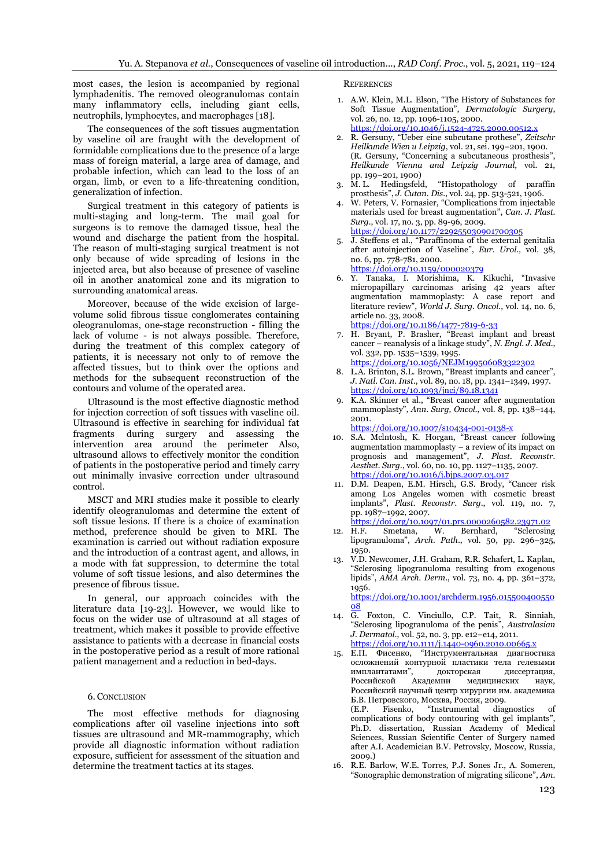most cases, the lesion is accompanied by regional lymphadenitis. The removed oleogranulomas contain many inflammatory cells, including giant cells, neutrophils, lymphocytes, and macrophages [18].

The consequences of the soft tissues augmentation by vaseline oil are fraught with the development of formidable complications due to the presence of a large mass of foreign material, a large area of damage, and probable infection, which can lead to the loss of an organ, limb, or even to a life-threatening condition, generalization of infection.

Surgical treatment in this category of patients is multi-staging and long-term. The mail goal for surgeons is to remove the damaged tissue, heal the wound and discharge the patient from the hospital. The reason of multi-staging surgical treatment is not only because of wide spreading of lesions in the injected area, but also because of presence of vaseline oil in another anatomical zone and its migration to surrounding anatomical areas.

Moreover, because of the wide excision of largevolume solid fibrous tissue conglomerates containing oleogranulomas, one-stage reconstruction - filling the lack of volume - is not always possible. Therefore, during the treatment of this complex category of patients, it is necessary not only to of remove the affected tissues, but to think over the options and methods for the subsequent reconstruction of the contours and volume of the operated area.

Ultrasound is the most effective diagnostic method for injection correction of soft tissues with vaseline oil. Ultrasound is effective in searching for individual fat fragments during surgery and assessing the intervention area around the perimeter Also, ultrasound allows to effectively monitor the condition of patients in the postoperative period and timely carry out minimally invasive correction under ultrasound control.

MSCT and MRI studies make it possible to clearly identify oleogranulomas and determine the extent of soft tissue lesions. If there is a choice of examination method, preference should be given to MRI. The examination is carried out without radiation exposure and the introduction of a contrast agent, and allows, in a mode with fat suppression, to determine the total volume of soft tissue lesions, and also determines the presence of fibrous tissue.

In general, our approach coincides with the literature data [19-23]. However, we would like to focus on the wider use of ultrasound at all stages of treatment, which makes it possible to provide effective assistance to patients with a decrease in financial costs in the postoperative period as a result of more rational patient management and a reduction in bed-days.

#### 6. CONCLUSION

The most effective methods for diagnosing complications after oil vaseline injections into soft tissues are ultrasound and MR-mammography, which provide all diagnostic information without radiation exposure, sufficient for assessment of the situation and determine the treatment tactics at its stages.

**REFERENCES** 

- 1. A.W. Klein, M.L. Elson, "The History of Substances for Soft Tissue Augmentation", *Dermatologic Surgery*, vol. 26, no. 12, pp. 1096-1105, 2000. <https://doi.org/10.1046/j.1524-4725.2000.00512.x>
- 2. R. Gersuny, "Ueber eine subcutane prothese", *Zeitschr Heilkunde Wien u Leipzig*, vol. 21, sei. 199–201, 1900. (R. Gersuny, "Concerning a subcutaneous prosthesis", *Heilkunde Vienna and Leipzig Journal*, vol. 21,
- pp. 199–201, 1900)<br>3. M. L. Hedingsfeld, 3. M. L. Hedingsfeld, "Histopathology of paraffin prosthesis", *J. Cutan. Dis*., vol. 24, pp. 513-521, 1906.
- 4. W. Peters, V. Fornasier, "Complications from injectable materials used for breast augmentation", *Can. J. Plast. Surg.*, vol. 17, no. 3, pp. 89-96, 2009. <https://doi.org/10.1177/229255030901700305>
- 5. J. Steffens et al., "Paraffinoma of the external genitalia after autoinjection of Vaseline", *Eur. Urol.,* vol. 38, no. 6, pp. 778-781, 2000. <https://doi.org/10.1159/000020379>
- 6. Y. Tanaka, I. Morishima, K. Kikuchi, "Invasive micropapillary carcinomas arising 42 years after augmentation mammoplasty: A case report and literature review", *World J. Surg. Oncol*., vol. 14, no. 6, article no. 33, 2008.
- <https://doi.org/10.1186/1477-7819-6-33> 7. H. Bryant, P. Brasher, "Breast implant and breast cancer – reanalysis of a linkage study", *N. Engl. J. Med.*, vol. 332, pp. 1535–1539, 1995.
	- <https://doi.org/10.1056/NEJM199506083322302>
- 8. L.A. Brinton, S.L. Brown, "Breast implants and cancer", *J. Natl. Can. Inst*., vol. 89, no. 18, pp. 1341–1349, 1997. <https://doi.org/10.1093/jnci/89.18.1341>
- 9. K.A. Skinner et al., "Breast cancer after augmentation mammoplasty", *Ann. Surg, Oncol.,* vol. 8, pp. 138–144, 2001.
	- <https://doi.org/10.1007/s10434-001-0138-x>
- 10. S.A. Mclntosh, K. Horgan, "Breast cancer following augmentation mammoplasty – a review of its impact on prognosis and management", *J. Plast. Reconstr. Aesthet. Surg.*, vol. 60, no. 10, pp. 1127–1135, 2007. <https://doi.org/10.1016/j.bjps.2007.03.017>
- 11. D.M. Deapen, E.M. Hirsch, G.S. Brody, "Cancer risk among Los Angeles women with cosmetic breast implants", *Plast. Reconstr. Surg*., vol. 119, no. 7, pp. 1987–1992, 2007.

<https://doi.org/10.1097/01.prs.0000260582.23971.02>

- 12. H.F. Smetana, W. Bernhard, "Sclerosing lipogranuloma", *Arch. Path*., vol. 50, pp. 296–325, 1950.
- 13. V.D. Newcomer, J.H. Graham, R.R. Schafert, L. Kaplan, "Sclerosing lipogranuloma resulting from exogenous lipids", *AMA Arch. Derm*., vol. 73, no. 4, pp. 361–372, 1956.

[https://doi.org/10.1001/archderm.1956.015500400550](https://doi.org/10.1001/archderm.1956.01550040055008) [08](https://doi.org/10.1001/archderm.1956.01550040055008)

- 14. G. Foxton, C. Vinciullo, C.P. Tait, R. Sinniah, "Sclerosing lipogranuloma of the penis", *Australasian J. Dermatol.*, vol. 52, no. 3, pp. e12–e14, 2011. <https://doi.org/10.1111/j.1440-0960.2010.00665.x>
- 15. Е.П. Фисенко, "Инструментальная диагностика осложнений контурной пластики тела гелевыми имплантатами", докторская диссертация, Российской Академии медицинских наук, Российский научный центр хирургии им. академика Б.В. Петровского, Москва, Россия, 2009. "Instrumental diagnostics of complications of body contouring with gel implants", Ph.D. dissertation, Russian Academy of Medical Sciences, Russian Scientific Center of Surgery named after A.I. Academician B.V. Petrovsky, Moscow, Russia, 2009.)
- 16. R.E. Barlow, W.E. Torres, P.J. Sones Jr., A. Someren, "Sonographic demonstration of migrating silicone", *Am.*